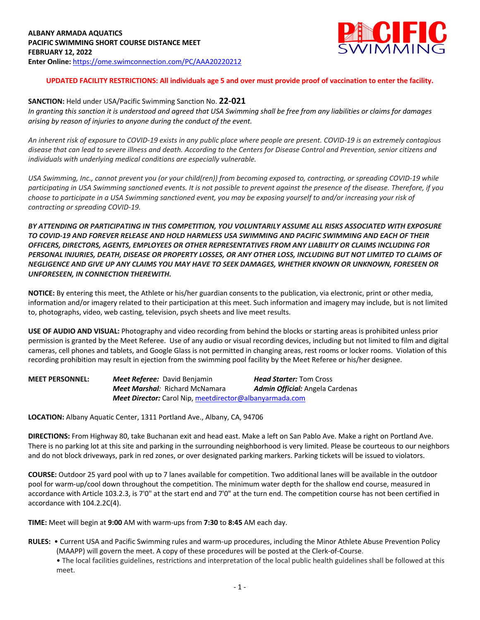

## **UPDATED FACILITY RESTRICTIONS: All individuals age 5 and over must provide proof of vaccination to enter the facility.**

#### **SANCTION:** Held under USA/Pacific Swimming Sanction No. **22-021**

*In granting this sanction it is understood and agreed that USA Swimming shall be free from any liabilities or claims for damages arising by reason of injuries to anyone during the conduct of the event.* 

*An inherent risk of exposure to COVID-19 exists in any public place where people are present. COVID-19 is an extremely contagious disease that can lead to severe illness and death. According to the Centers for Disease Control and Prevention, senior citizens and individuals with underlying medical conditions are especially vulnerable.*

*USA Swimming, Inc., cannot prevent you (or your child(ren)) from becoming exposed to, contracting, or spreading COVID-19 while participating in USA Swimming sanctioned events. It is not possible to prevent against the presence of the disease. Therefore, if you choose to participate in a USA Swimming sanctioned event, you may be exposing yourself to and/or increasing your risk of contracting or spreading COVID-19.*

*BY ATTENDING OR PARTICIPATING IN THIS COMPETITION, YOU VOLUNTARILY ASSUME ALL RISKS ASSOCIATED WITH EXPOSURE TO COVID-19 AND FOREVER RELEASE AND HOLD HARMLESS USA SWIMMING AND PACIFIC SWIMMING AND EACH OF THEIR OFFICERS, DIRECTORS, AGENTS, EMPLOYEES OR OTHER REPRESENTATIVES FROM ANY LIABILITY OR CLAIMS INCLUDING FOR PERSONAL INJURIES, DEATH, DISEASE OR PROPERTY LOSSES, OR ANY OTHER LOSS, INCLUDING BUT NOT LIMITED TO CLAIMS OF NEGLIGENCE AND GIVE UP ANY CLAIMS YOU MAY HAVE TO SEEK DAMAGES, WHETHER KNOWN OR UNKNOWN, FORESEEN OR UNFORESEEN, IN CONNECTION THEREWITH.*

**NOTICE:** By entering this meet, the Athlete or his/her guardian consents to the publication, via electronic, print or other media, information and/or imagery related to their participation at this meet. Such information and imagery may include, but is not limited to, photographs, video, web casting, television, psych sheets and live meet results.

**USE OF AUDIO AND VISUAL:** Photography and video recording from behind the blocks or starting areas is prohibited unless prior permission is granted by the Meet Referee. Use of any audio or visual recording devices, including but not limited to film and digital cameras, cell phones and tablets, and Google Glass is not permitted in changing areas, rest rooms or locker rooms. Violation of this recording prohibition may result in ejection from the swimming pool facility by the Meet Referee or his/her designee.

| <b>MEET PERSONNEL:</b> | <b>Meet Referee:</b> David Benjamin                            | <b>Head Starter:</b> Tom Cross         |  |  |  |  |
|------------------------|----------------------------------------------------------------|----------------------------------------|--|--|--|--|
|                        | <b>Meet Marshal:</b> Richard McNamara                          | <b>Admin Official:</b> Angela Cardenas |  |  |  |  |
|                        | <b>Meet Director:</b> Carol Nip, meetdirector@albanyarmada.com |                                        |  |  |  |  |

**LOCATION:** Albany Aquatic Center, 1311 Portland Ave., Albany, CA, 94706

**DIRECTIONS:** From Highway 80, take Buchanan exit and head east. Make a left on San Pablo Ave. Make a right on Portland Ave. There is no parking lot at this site and parking in the surrounding neighborhood is very limited. Please be courteous to our neighbors and do not block driveways, park in red zones, or over designated parking markers. Parking tickets will be issued to violators.

**COURSE:** Outdoor 25 yard pool with up to 7 lanes available for competition. Two additional lanes will be available in the outdoor pool for warm-up/cool down throughout the competition. The minimum water depth for the shallow end course, measured in accordance with Article 103.2.3, is 7'0" at the start end and 7'0" at the turn end. The competition course has not been certified in accordance with 104.2.2C(4).

**TIME:** Meet will begin at **9:00** AM with warm-ups from **7:30** to **8:45** AM each day.

**RULES:** • Current USA and Pacific Swimming rules and warm-up procedures, including the Minor Athlete Abuse Prevention Policy (MAAPP) will govern the meet. A copy of these procedures will be posted at the Clerk-of-Course.

• The local facilities guidelines, restrictions and interpretation of the local public health guidelines shall be followed at this meet.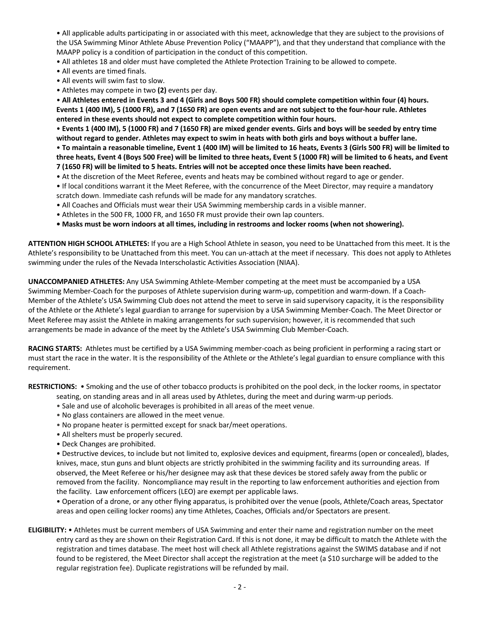• All applicable adults participating in or associated with this meet, acknowledge that they are subject to the provisions of the USA Swimming Minor Athlete Abuse Prevention Policy ("MAAPP"), and that they understand that compliance with the MAAPP policy is a condition of participation in the conduct of this competition.

• All athletes 18 and older must have completed the Athlete Protection Training to be allowed to compete.

- All events are timed finals.
- All events will swim fast to slow.
- Athletes may compete in two **(2)** events per day.

• **All Athletes entered in Events 3 and 4 (Girls and Boys 500 FR) should complete competition within four (4) hours. Events 1 (400 IM), 5 (1000 FR), and 7 (1650 FR) are open events and are not subject to the four-hour rule. Athletes entered in these events should not expect to complete competition within four hours.**

• **Events 1 (400 IM), 5 (1000 FR) and 7 (1650 FR) are mixed gender events. Girls and boys will be seeded by entry time without regard to gender. Athletes may expect to swim in heats with both girls and boys without a buffer lane.** 

• **To maintain a reasonable timeline, Event 1 (400 IM) will be limited to 16 heats, Events 3 (Girls 500 FR) will be limited to three heats, Event 4 (Boys 500 Free) will be limited to three heats, Event 5 (1000 FR) will be limited to 6 heats, and Event 7 (1650 FR) will be limited to 5 heats. Entries will not be accepted once these limits have been reached.**

- At the discretion of the Meet Referee, events and heats may be combined without regard to age or gender.
- If local conditions warrant it the Meet Referee, with the concurrence of the Meet Director, may require a mandatory
- scratch down. Immediate cash refunds will be made for any mandatory scratches.
- All Coaches and Officials must wear their USA Swimming membership cards in a visible manner.
- Athletes in the 500 FR, 1000 FR, and 1650 FR must provide their own lap counters.
- **Masks must be worn indoors at all times, including in restrooms and locker rooms (when not showering).**

**ATTENTION HIGH SCHOOL ATHLETES:** If you are a High School Athlete in season, you need to be Unattached from this meet. It is the Athlete's responsibility to be Unattached from this meet. You can un-attach at the meet if necessary. This does not apply to Athletes swimming under the rules of the Nevada Interscholastic Activities Association (NIAA).

**UNACCOMPANIED ATHLETES:** Any USA Swimming Athlete-Member competing at the meet must be accompanied by a USA Swimming Member-Coach for the purposes of Athlete supervision during warm-up, competition and warm-down. If a Coach-Member of the Athlete's USA Swimming Club does not attend the meet to serve in said supervisory capacity, it is the responsibility of the Athlete or the Athlete's legal guardian to arrange for supervision by a USA Swimming Member-Coach. The Meet Director or Meet Referee may assist the Athlete in making arrangements for such supervision; however, it is recommended that such arrangements be made in advance of the meet by the Athlete's USA Swimming Club Member-Coach.

**RACING STARTS:** Athletes must be certified by a USA Swimming member-coach as being proficient in performing a racing start or must start the race in the water. It is the responsibility of the Athlete or the Athlete's legal guardian to ensure compliance with this requirement.

**RESTRICTIONS:** • Smoking and the use of other tobacco products is prohibited on the pool deck, in the locker rooms, in spectator seating, on standing areas and in all areas used by Athletes, during the meet and during warm-up periods.

- Sale and use of alcoholic beverages is prohibited in all areas of the meet venue.
- No glass containers are allowed in the meet venue.
- No propane heater is permitted except for snack bar/meet operations.
- All shelters must be properly secured.
- Deck Changes are prohibited.

• Destructive devices, to include but not limited to, explosive devices and equipment, firearms (open or concealed), blades, knives, mace, stun guns and blunt objects are strictly prohibited in the swimming facility and its surrounding areas. If observed, the Meet Referee or his/her designee may ask that these devices be stored safely away from the public or removed from the facility. Noncompliance may result in the reporting to law enforcement authorities and ejection from the facility. Law enforcement officers (LEO) are exempt per applicable laws.

• Operation of a drone, or any other flying apparatus, is prohibited over the venue (pools, Athlete/Coach areas, Spectator areas and open ceiling locker rooms) any time Athletes, Coaches, Officials and/or Spectators are present.

**ELIGIBILITY:** • Athletes must be current members of USA Swimming and enter their name and registration number on the meet entry card as they are shown on their Registration Card. If this is not done, it may be difficult to match the Athlete with the registration and times database. The meet host will check all Athlete registrations against the SWIMS database and if not found to be registered, the Meet Director shall accept the registration at the meet (a \$10 surcharge will be added to the regular registration fee). Duplicate registrations will be refunded by mail.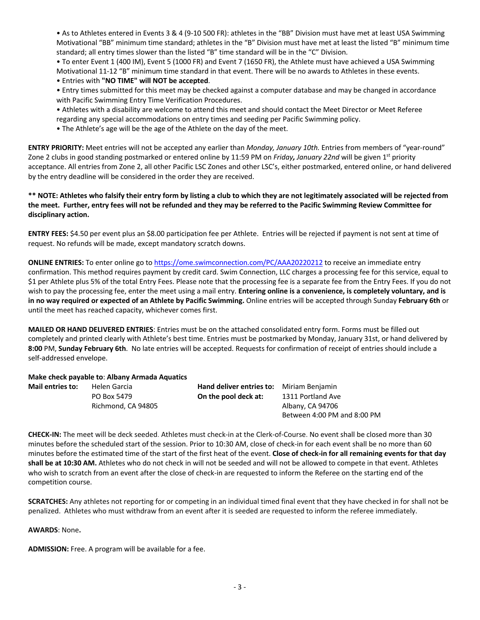• As to Athletes entered in Events 3 & 4 (9-10 500 FR): athletes in the "BB" Division must have met at least USA Swimming Motivational "BB" minimum time standard; athletes in the "B" Division must have met at least the listed "B" minimum time standard; all entry times slower than the listed "B" time standard will be in the "C" Division.

• To enter Event 1 (400 IM), Event 5 (1000 FR) and Event 7 (1650 FR), the Athlete must have achieved a USA Swimming Motivational 11-12 "B" minimum time standard in that event. There will be no awards to Athletes in these events.

• Entries with **"NO TIME" will NOT be accepted**.

• Entry times submitted for this meet may be checked against a computer database and may be changed in accordance with Pacific Swimming Entry Time Verification Procedures.

- Athletes with a disability are welcome to attend this meet and should contact the Meet Director or Meet Referee regarding any special accommodations on entry times and seeding per Pacific Swimming policy.
- The Athlete's age will be the age of the Athlete on the day of the meet.

**ENTRY PRIORITY:** Meet entries will not be accepted any earlier than *Monday, January 10th.* Entries from members of "year-round" Zone 2 clubs in good standing postmarked or entered online by 11:59 PM on *Friday, January 22nd* will be given 1st priority acceptance. All entries from Zone 2, all other Pacific LSC Zones and other LSC's, either postmarked, entered online, or hand delivered by the entry deadline will be considered in the order they are received.

## **\*\* NOTE: Athletes who falsify their entry form by listing a club to which they are not legitimately associated will be rejected from the meet. Further, entry fees will not be refunded and they may be referred to the Pacific Swimming Review Committee for disciplinary action.**

**ENTRY FEES:** \$4.50 per event plus an \$8.00 participation fee per Athlete. Entries will be rejected if payment is not sent at time of request. No refunds will be made, except mandatory scratch downs.

**ONLINE ENTRIES:** To enter online go to https://ome.swimconnection.com/PC/AAA20220212 to receive an immediate entry confirmation. This method requires payment by credit card. Swim Connection, LLC charges a processing fee for this service, equal to \$1 per Athlete plus 5% of the total Entry Fees. Please note that the processing fee is a separate fee from the Entry Fees. If you do not wish to pay the processing fee, enter the meet using a mail entry. **Entering online is a convenience, is completely voluntary, and is in no way required or expected of an Athlete by Pacific Swimming.** Online entries will be accepted through Sunday **February 6th** or until the meet has reached capacity, whichever comes first.

**MAILED OR HAND DELIVERED ENTRIES**: Entries must be on the attached consolidated entry form. Forms must be filled out completely and printed clearly with Athlete's best time. Entries must be postmarked by Monday, January 31st, or hand delivered by **8:00** PM, **Sunday February 6th**. No late entries will be accepted. Requests for confirmation of receipt of entries should include a self-addressed envelope.

### **Make check payable to**: **Albany Armada Aquatics**

| <b>Mail entries to:</b> | Helen Garcia       | <b>Hand deliver entries to:</b> Miriam Benjamin |                             |  |  |
|-------------------------|--------------------|-------------------------------------------------|-----------------------------|--|--|
|                         | PO Box 5479        | On the pool deck at:                            | 1311 Portland Ave           |  |  |
|                         | Richmond, CA 94805 |                                                 | Albany, CA 94706            |  |  |
|                         |                    |                                                 | Between 4:00 PM and 8:00 PM |  |  |

**CHECK-IN:** The meet will be deck seeded. Athletes must check-in at the Clerk-of-Course. No event shall be closed more than 30 minutes before the scheduled start of the session. Prior to 10:30 AM, close of check-in for each event shall be no more than 60 minutes before the estimated time of the start of the first heat of the event. **Close of check-in for all remaining events for that day shall be at 10:30 AM.** Athletes who do not check in will not be seeded and will not be allowed to compete in that event. Athletes who wish to scratch from an event after the close of check-in are requested to inform the Referee on the starting end of the competition course.

**SCRATCHES:** Any athletes not reporting for or competing in an individual timed final event that they have checked in for shall not be penalized. Athletes who must withdraw from an event after it is seeded are requested to inform the referee immediately.

**AWARDS**: None**.**

**ADMISSION:** Free. A program will be available for a fee.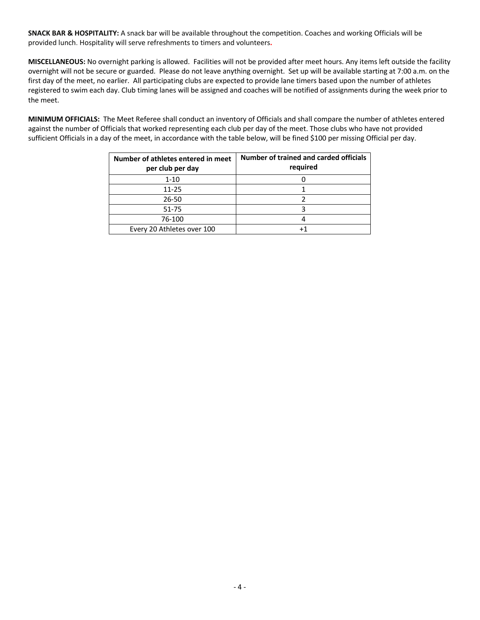**SNACK BAR & HOSPITALITY:** A snack bar will be available throughout the competition. Coaches and working Officials will be provided lunch. Hospitality will serve refreshments to timers and volunteers**.**

**MISCELLANEOUS:** No overnight parking is allowed. Facilities will not be provided after meet hours. Any items left outside the facility overnight will not be secure or guarded. Please do not leave anything overnight. Set up will be available starting at 7:00 a.m. on the first day of the meet, no earlier. All participating clubs are expected to provide lane timers based upon the number of athletes registered to swim each day. Club timing lanes will be assigned and coaches will be notified of assignments during the week prior to the meet.

**MINIMUM OFFICIALS:** The Meet Referee shall conduct an inventory of Officials and shall compare the number of athletes entered against the number of Officials that worked representing each club per day of the meet. Those clubs who have not provided sufficient Officials in a day of the meet, in accordance with the table below, will be fined \$100 per missing Official per day.

| Number of athletes entered in meet<br>per club per day | Number of trained and carded officials<br>required |
|--------------------------------------------------------|----------------------------------------------------|
| $1 - 10$                                               |                                                    |
| $11 - 25$                                              |                                                    |
| $26 - 50$                                              |                                                    |
| 51-75                                                  |                                                    |
| 76-100                                                 |                                                    |
| Every 20 Athletes over 100                             |                                                    |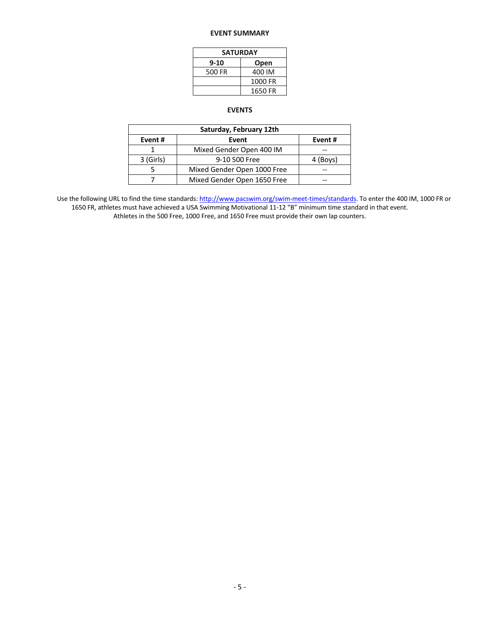### **EVENT SUMMARY**

| <b>SATURDAY</b> |         |  |  |  |  |  |
|-----------------|---------|--|--|--|--|--|
| $9 - 10$        | Open    |  |  |  |  |  |
| 500 FR          | 400 IM  |  |  |  |  |  |
|                 | 1000 FR |  |  |  |  |  |
|                 | 1650 FR |  |  |  |  |  |

# **EVENTS**

| Saturday, February 12th |                             |          |  |  |  |
|-------------------------|-----------------------------|----------|--|--|--|
| Event#                  | Event#                      |          |  |  |  |
|                         | Mixed Gender Open 400 IM    |          |  |  |  |
| 3 (Girls)               | 9-10 500 Free               | 4 (Boys) |  |  |  |
|                         | Mixed Gender Open 1000 Free |          |  |  |  |
|                         | Mixed Gender Open 1650 Free |          |  |  |  |

Use the following URL to find the time standards: http://www.pacswim.org/swim-meet-times/standards. To enter the 400 IM, 1000 FR or 1650 FR, athletes must have achieved a USA Swimming Motivational 11-12 "B" minimum time standard in that event. Athletes in the 500 Free, 1000 Free, and 1650 Free must provide their own lap counters.